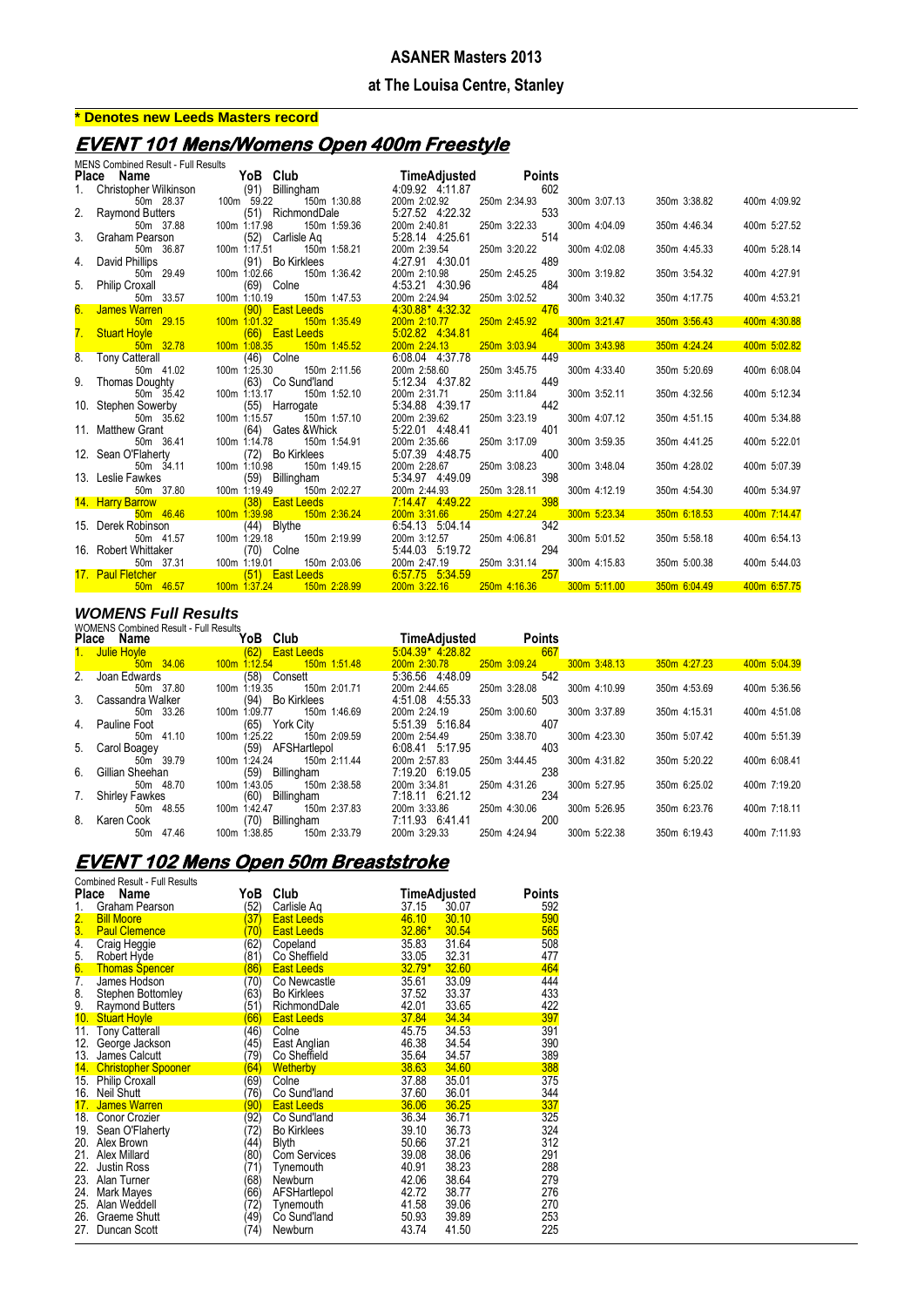#### **at The Louisa Centre, Stanley**

## **\* Denotes new Leeds Masters record**

## **EVENT 101 Mens/Womens Open 400m Freestyle**

|       | <b>MENS Combined Result - Full Results</b> |              |                           |                 |                                 |              |     |              |              |              |
|-------|--------------------------------------------|--------------|---------------------------|-----------------|---------------------------------|--------------|-----|--------------|--------------|--------------|
| Place | Name                                       |              | YoB Club                  |                 | TimeAdjusted Points             |              |     |              |              |              |
|       | Christopher Wilkinson                      |              |                           | (91) Billingham | 4:09.92 4:11.87                 |              | 602 |              |              |              |
|       | 50m 28.37                                  | 100m 59.22   |                           | 150m 1:30.88    | 200m 2:02.92                    | 250m 2:34.93 |     | 300m 3:07.13 | 350m 3:38.82 | 400m 4:09.92 |
|       | 2. Raymond Butters                         |              | (51) RichmondDale         |                 | 5:27.52 4:22.32                 |              | 533 |              |              |              |
|       | 50m 37.88                                  | 100m 1:17.98 |                           | 150m 1:59.36    | 200m 2:40.81                    | 250m 3:22.33 |     | 300m 4:04.09 | 350m 4:46.34 | 400m 5:27.52 |
| 3.    | Graham Pearson                             |              | (52) Carlisle Aq          |                 | 5:28.14 4:25.61                 |              | 514 |              |              |              |
|       | 50m 36.87                                  | 100m 1:17.51 |                           | 150m 1:58.21    | 200m 2:39.54                    | 250m 3:20.22 |     | 300m 4:02.08 | 350m 4:45.33 | 400m 5:28.14 |
| 4.    | David Phillips                             |              | (91) Bo Kirklees          |                 | 4:27.91 4:30.01                 |              | 489 |              |              |              |
|       | 50m 29.49                                  | 100m 1:02.66 |                           | 150m 1:36.42    | 200m 2:10.98                    | 250m 2:45.25 |     | 300m 3:19.82 | 350m 3:54.32 | 400m 4:27.91 |
| 5.    | <b>Philip Croxall</b>                      |              | (69) Colne                |                 | 4:53.21 4:30.96                 |              | 484 |              |              |              |
|       | 50m 33.57                                  | 100m 1:10.19 |                           | 150m 1:47.53    | 200m 2:24.94                    | 250m 3:02.52 |     | 300m 3:40.32 | 350m 4:17.75 | 400m 4:53.21 |
| 6.    | James Warren                               |              | (90) East Leeds           |                 | 4:30.88* 4:32.32                |              | 476 |              |              |              |
|       | 50m 29.15                                  | 100m 1:01.32 |                           | 150m 1:35.49    | 200m 2:10.77                    | 250m 2:45.92 | 464 | 300m 3:21.47 | 350m 3:56.43 | 400m 4:30.88 |
| 7.    | <b>Stuart Hoyle</b>                        |              | <b>East Leeds</b><br>(66) |                 | 5.02.82 4:34.81                 |              |     |              |              |              |
| 8.    | 50m 32.78                                  | 100m 1:08.35 | (46) Colne                | 150m 1:45.52    | 200m 2:24.13<br>6:08.04 4:37.78 | 250m 3:03.94 | 449 | 300m 3:43.98 | 350m 4:24.24 | 400m 5:02.82 |
|       | <b>Tony Catterall</b><br>50m 41.02         | 100m 1:25.30 |                           | 150m 2:11.56    | 200m 2:58.60                    | 250m 3:45.75 |     | 300m 4:33.40 | 350m 5:20.69 | 400m 6:08.04 |
|       | 9. Thomas Doughty                          |              | (63) Co Sund'land         |                 | 5:12.34 4:37.82                 |              | 449 |              |              |              |
|       | 50m 35.42                                  | 100m 1:13.17 |                           | 150m 1:52.10    | 200m 2:31.71                    | 250m 3:11.84 |     | 300m 3:52.11 | 350m 4:32.56 | 400m 5:12.34 |
|       | 10. Stephen Sowerby                        |              | (55) Harrogate            |                 | 5:34.88 4:39.17                 |              | 442 |              |              |              |
|       | 50m 35.62                                  | 100m 1:15.57 |                           | 150m 1:57.10    | 200m 2:39.62                    | 250m 3:23.19 |     | 300m 4:07.12 | 350m 4:51.15 | 400m 5:34.88 |
|       | 11. Matthew Grant                          |              | (64) Gates & Whick        |                 | 5:22.01 4:48.41                 |              | 401 |              |              |              |
|       | 50m 36.41                                  | 100m 1:14.78 |                           | 150m 1:54.91    | 200m 2:35.66                    | 250m 3:17.09 |     | 300m 3:59.35 | 350m 4:41.25 | 400m 5:22.01 |
|       | 12. Sean O'Flaherty                        |              | (72) Bo Kirklees          |                 | 5:07.39 4:48.75                 |              | 400 |              |              |              |
|       | 50m 34.11                                  | 100m 1:10.98 |                           | 150m 1:49.15    | 200m 2:28.67                    | 250m 3:08.23 |     | 300m 3:48.04 | 350m 4:28.02 | 400m 5:07.39 |
|       | 13. Leslie Fawkes                          |              | (59) Billingham           |                 | 5:34.97 4:49.09                 |              | 398 |              |              |              |
|       | 50m 37.80                                  | 100m 1:19.49 |                           | 150m 2:02.27    | 200m 2:44.93                    | 250m 3:28.11 |     | 300m 4:12.19 | 350m 4:54.30 | 400m 5:34.97 |
|       | 14. Harry Barrow                           |              | (38) East Leeds           |                 | 7.14.47 4.49.22                 |              | 398 |              |              |              |
|       | 50m 46.46                                  | 100m 1:39.98 |                           | 150m 2:36.24    | 200m 3:31.66                    | 250m 4:27.24 |     | 300m 5:23.34 | 350m 6:18.53 | 400m 7:14.47 |
|       | 15. Derek Robinson                         |              | (44) Blythe               |                 | 6:54.13 5:04.14                 |              | 342 |              |              |              |
|       | 50m 41.57                                  | 100m 1:29.18 |                           | 150m 2:19.99    | 200m 3:12.57                    | 250m 4:06.81 |     | 300m 5:01.52 | 350m 5:58.18 | 400m 6:54.13 |
|       | 16. Robert Whittaker                       |              | $(70)$ Colne              |                 | 5:44.03 5:19.72                 |              | 294 |              |              |              |
|       | 50m 37.31                                  | 100m 1:19.01 |                           | 150m 2:03.06    | 200m 2:47.19                    | 250m 3:31.14 |     | 300m 4:15.83 | 350m 5:00.38 | 400m 5:44.03 |
|       | 17. Paul Fletcher                          |              | (51) East Leeds           |                 | 6:57.75 5:34.59                 |              | 257 |              |              |              |
|       | 50m 46.57                                  | 100m 1:37.24 |                           | 150m 2:28.99    | 200m 3:22.16                    | 250m 4:16.36 |     | 300m 5:11.00 | 350m 6:04.49 | 400m 6:57.75 |

#### *WOMENS Full Results*

|              | <b>WOMENS Combined Result - Full Results</b> |                                 |                    |               |              |                              |  |  |  |  |
|--------------|----------------------------------------------|---------------------------------|--------------------|---------------|--------------|------------------------------|--|--|--|--|
| <b>Place</b> | Name                                         | YoB Club                        | TimeAdjusted       | <b>Points</b> |              |                              |  |  |  |  |
|              | 1. Julie Hoyle                               | (62)<br><b>East Leeds</b>       | $5.04.39*$ 4.28.82 | 667           |              |                              |  |  |  |  |
|              | 50m 34.06                                    | 150m 1:51.48<br>$100m$ 1:12.54  | 200m 2:30.78       | 250m 3:09.24  | 300m 3:48.13 | 400m 5:04.39<br>350m 4:27.23 |  |  |  |  |
|              | 2. Joan Edwards                              | (58) Consett                    | 5.36.56 4.48.09    | 542           |              |                              |  |  |  |  |
|              | 50m 37.80                                    | 100m 1:19.35<br>150m 2:01.71    | 200m 2:44.65       | 250m 3:28.08  | 300m 4:10.99 | 400m 5:36.56<br>350m 4:53.69 |  |  |  |  |
|              | 3. Cassandra Walker                          | (94)<br>Bo Kirklees             | 4:51.08 4:55.33    | 503           |              |                              |  |  |  |  |
|              | 50m 33.26                                    | 1:09.77<br>150m 1:46.69<br>100m | 200m 2:24.19       | 250m 3:00.60  | 300m 3:37.89 | 400m 4:51.08<br>350m 4:15.31 |  |  |  |  |
|              | 4. Pauline Foot                              | (65)<br>York City               | 5:51.39 5:16.84    | 407           |              |                              |  |  |  |  |
|              | 50m 41.10                                    | 1:25.22<br>150m 2:09.59<br>100m | 200m 2:54.49       | 250m 3:38.70  | 300m 4:23.30 | 400m 5:51.39<br>350m 5:07.42 |  |  |  |  |
|              | 5. Carol Boagey                              | AFSHartlepol<br>(59)            | 6:08.41 5:17.95    | 403           |              |                              |  |  |  |  |
|              | 50m 39.79                                    | 1:24.24<br>150m 2:11.44<br>100m | 200m 2:57.83       | 250m 3:44.45  | 300m 4:31.82 | 350m 5:20.22<br>400m 6:08.41 |  |  |  |  |
|              | 6. Gillian Sheehan                           | Billingham<br>(59)              | 7.19.20 6.19.05    | 238           |              |                              |  |  |  |  |
|              | 50m 48.70                                    | 150m 2:38.58<br>100m 1:43.05    | 200m 3:34.81       | 250m 4:31.26  | 300m 5:27.95 | 400m 7:19.20<br>350m 6:25.02 |  |  |  |  |
|              | 7. Shirley Fawkes                            | (60)<br>Billingham              | 7.18.11 6.21.12    | 234           |              |                              |  |  |  |  |
|              | 50m 48.55                                    | 100m 1:42.47<br>150m 2:37.83    | 200m 3:33.86       | 250m 4:30.06  | 300m 5:26.95 | 400m 7:18.11<br>350m 6:23.76 |  |  |  |  |
|              | 8. Karen Cook                                | (70)<br>Billingham              | 7:11.93 6:41.41    | 200           |              |                              |  |  |  |  |
|              | 47.46<br>50m                                 | 1:38.85<br>150m 2:33.79<br>100m | 200m 3:29.33       | 250m 4:24.94  | 300m 5:22.38 | 400m 7:11.93<br>350m 6:19.43 |  |  |  |  |

# **EVENT 102 Mens Open 50m Breaststroke**

|                  | <b>Combined Result - Full Results</b> |                    |                     |              |       |        |
|------------------|---------------------------------------|--------------------|---------------------|--------------|-------|--------|
| Place            | Name                                  | YoB                | Club                | TimeAdjusted |       | Points |
| 1.               | Graham Pearson                        | 52)                | Carlisle Ag         | 37.15        | 30.07 | 592    |
| $\overline{2}$ . | <b>Bill Moore</b>                     | 37)                | <b>East Leeds</b>   | 46.10        | 30.10 | 590    |
| 3.               | <b>Paul Clemence</b>                  | 70)                | <b>East Leeds</b>   | $32.86*$     | 30.54 | 565    |
| 4.               | Craig Heggie                          | 62)                | Copeland            | 35.83        | 31.64 | 508    |
| 5.               | Robert Hyde                           | 81)                | Co Sheffield        | 33.05        | 32.31 | 477    |
| 6.               | <b>Thomas Spencer</b>                 | $\left( 86\right)$ | <b>East Leeds</b>   | $32.79*$     | 32.60 | 464    |
| 7.               | James Hodson                          | 70)                | Co Newcastle        | 35.61        | 33.09 | 444    |
| 8.               | Stephen Bottomley                     | 63)                | <b>Bo Kirklees</b>  | 37.52        | 33.37 | 433    |
| 9.               | <b>Raymond Butters</b>                | '51)               | RichmondDale        | 42.01        | 33.65 | 422    |
| 10.              | <b>Stuart Hoyle</b>                   | 66)                | <b>East Leeds</b>   | 37.84        | 34.34 | 397    |
| 11.              | <b>Tony Catterall</b>                 | (46)               | Colne               | 45.75        | 34.53 | 391    |
| 12.              | George Jackson                        | 45)                | East Anglian        | 46.38        | 34.54 | 390    |
| 13.              | James Calcutt                         | 79)                | Co Sheffield        | 35.64        | 34.57 | 389    |
| 14.              | <b>Christopher Spooner</b>            | (64)               | <b>Wetherby</b>     | 38.63        | 34.60 | 388    |
| 15.              | <b>Philip Croxall</b>                 | 69)                | Colne               | 37.88        | 35.01 | 375    |
| 16.              | Neil Shutt                            | 76)                | Co Sund'land        | 37.60        | 36.01 | 344    |
| 17.              | <b>James Warren</b>                   | $\left(90\right)$  | <b>East Leeds</b>   | 36.06        | 36.25 | 337    |
| 18.              | Conor Crozier                         | 92)                | Co Sund'land        | 36.34        | 36.71 | 325    |
| 19.              | Sean O'Flaherty                       | 72)                | <b>Bo Kirklees</b>  | 39.10        | 36.73 | 324    |
| 20.              | Alex Brown                            | 44)                | <b>Blyth</b>        | 50.66        | 37.21 | 312    |
| 21.              | Alex Millard                          | (80)               | <b>Com Services</b> | 39.08        | 38.06 | 291    |
| 22.              | <b>Justin Ross</b>                    | 71)                | Tynemouth           | 40.91        | 38.23 | 288    |
| 23.              | Alan Turner                           | 68)                | Newburn             | 42.06        | 38.64 | 279    |
| 24.              | Mark Mayes                            | (66)               | AFSHartlepol        | 42.72        | 38.77 | 276    |
|                  | 25. Alan Weddell                      | 72)                | Tynemouth           | 41.58        | 39.06 | 270    |
| 26.              | <b>Graeme Shutt</b>                   | 49)                | Co Sund'land        | 50.93        | 39.89 | 253    |
| 27.              | Duncan Scott                          | 74)                | Newburn             | 43.74        | 41.50 | 225    |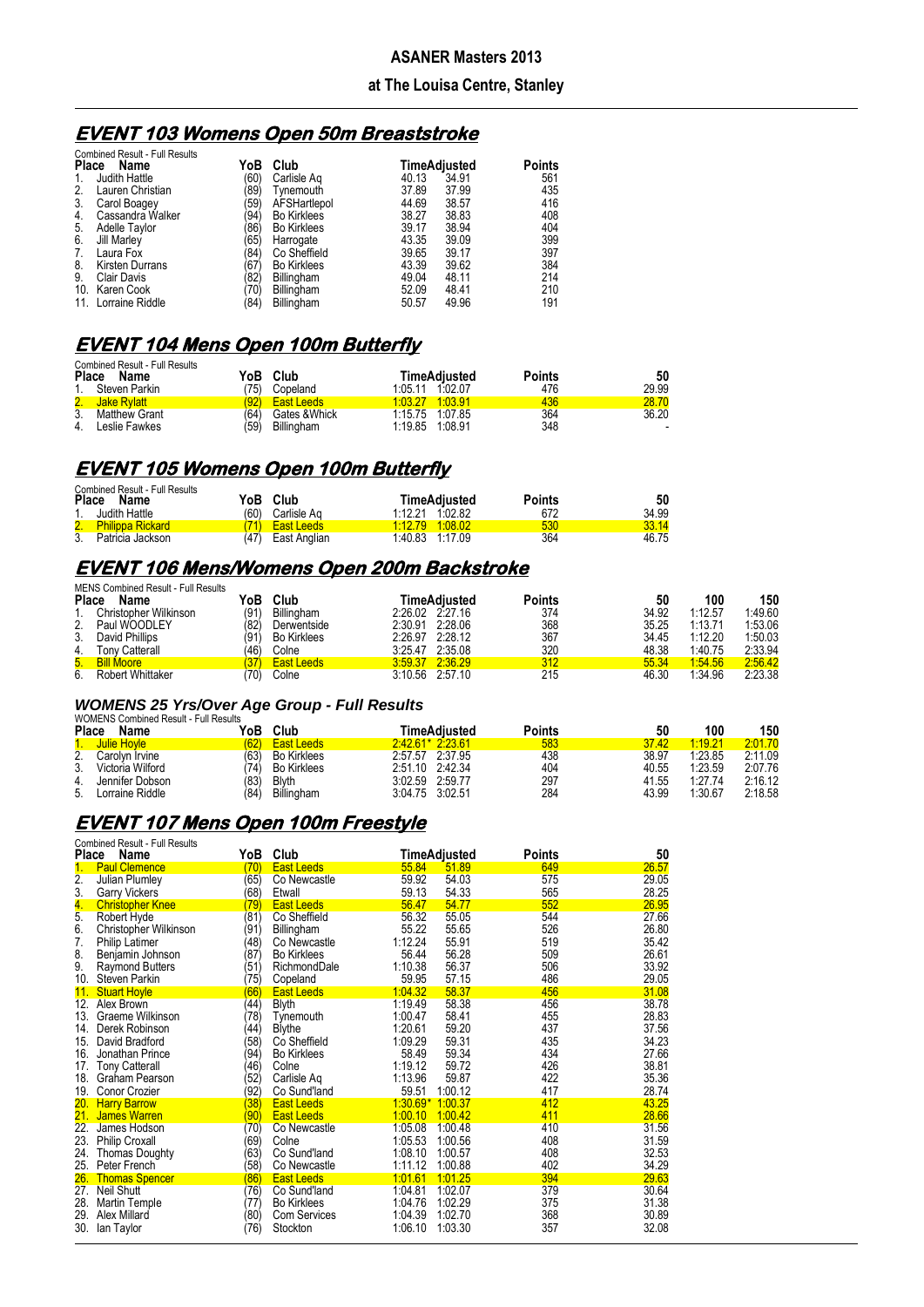#### **at The Louisa Centre, Stanley**

## **EVENT 103 Womens Open 50m Breaststroke**

|              | <b>Combined Result - Full Results</b> |      |                    |              |       |               |
|--------------|---------------------------------------|------|--------------------|--------------|-------|---------------|
| <b>Place</b> | Name                                  | YoB  | Club               | TimeAdjusted |       | <b>Points</b> |
|              | Judith Hattle                         | (60) | Carlisle Ag        | 40.13        | 34.91 | 561           |
| 2.           | Lauren Christian                      | '89) | Tvnemouth          | 37.89        | 37.99 | 435           |
| 3.           | Carol Boagey                          | (59) | AFSHartlepol       | 44.69        | 38.57 | 416           |
| 4.           | Cassandra Walker                      | (94) | <b>Bo Kirklees</b> | 38.27        | 38.83 | 408           |
| 5.           | Adelle Taylor                         | '86) | <b>Bo Kirklees</b> | 39.17        | 38.94 | 404           |
| 6.           | Jill Marley                           | (65) | Harrogate          | 43.35        | 39.09 | 399           |
| 7.           | Laura Fox                             | (84) | Co Sheffield       | 39.65        | 39.17 | 397           |
| 8.           | Kirsten Durrans                       | '67) | <b>Bo Kirklees</b> | 43.39        | 39.62 | 384           |
| 9.           | <b>Clair Davis</b>                    | (82) | Billingham         | 49.04        | 48.11 | 214           |
| 10.          | Karen Cook                            | 70)  | Billingham         | 52.09        | 48.41 | 210           |
| 11.          | Lorraine Riddle                       | '84) | <b>Billingham</b>  | 50.57        | 49.96 | 191           |

## **EVENT 104 Mens Open 100m Butterfly**

| <b>Combined Result - Full Results</b><br>Place Name | YoB  | Club              | <b>TimeAdiusted</b> | <b>Points</b> | 50                       |
|-----------------------------------------------------|------|-------------------|---------------------|---------------|--------------------------|
| 1.<br>Steven Parkin                                 | 75)  | Copeland          | 1:05.11 1:02.07     | 476           | 29.99                    |
| 2.<br>Jake Rylatt                                   | (92) | <b>East Leeds</b> | 1 03 27 1:03 91     | 436           | 28.70                    |
| 3.<br>Matthew Grant                                 | (64) | Gates & Whick     | 1:15.75 1:07.85     | 364           | 36.20                    |
| 4.<br>Leslie Fawkes                                 | (59) | Billingham        | 1:19.85 1:08.91     | 348           | $\overline{\phantom{a}}$ |

## **EVENT 105 Womens Open 100m Butterfly**

| <b>Combined Result - Full Results</b> |                      |                    |        |       |
|---------------------------------------|----------------------|--------------------|--------|-------|
| <b>Place</b><br>Name                  | Club<br>YoB⊣         | TimeAdiusted       | Points | 50    |
| Judith Hattle                         | (60<br>Carlisle Aq   | 1.02.82<br>1:12.21 | 672    | 34.99 |
| 2. Philippa Rickard                   | East Leeds           | 1.12.79 1.08.02    | 530    | 33.14 |
| 3.<br>Patricia Jackson                | (47)<br>East Anglian | 1:40.83 1:17.09    | 364    | 46.75 |

#### **EVENT 106 Mens/Womens Open 200m Backstroke**  MENS Combined Result - Full Result

|    | <u> MLNJ COMMICANTE I UN RESURS</u> |      |                    |         |                 |        |       |         |         |
|----|-------------------------------------|------|--------------------|---------|-----------------|--------|-------|---------|---------|
|    | <b>Place</b><br>Name                | YoB  | Club               |         | TimeAdiusted    | Points | 50    | 100     | 150     |
|    | Christopher Wilkinson               | (91  | Billingham         |         | 2.26.02 2.27.16 | 374    | 34.92 | 1:12.57 | 1:49.60 |
|    | 2. Paul WOODLEY                     | (82) | Derwentside        |         | 2:30.91 2:28.06 | 368    | 35.25 | 1:13.71 | 1:53.06 |
| 3. | David Phillips                      | 91   | <b>Bo Kirklees</b> | 2:26.97 | 2.28.12         | 367    | 34.45 | 1:12.20 | 1:50.03 |
| 4. | Tony Catterall                      | 46   | Colne              |         | 3:25.47 2:35.08 | 320    | 48.38 | 1:40.75 | 2:33.94 |
|    | 5. Bill Moore                       |      | <b>East Leeds</b>  |         | 3:59.37 2:36.29 | 312    | 55.34 | 1.54.56 | 2:56.42 |
| 6. | Robert Whittaker                    | 70)  | Colne              |         | 3:10.56 2:57.10 | 215    | 46.30 | 1.34.96 | 2:23.38 |

#### *WOMENS 25 Yrs/Over Age Group - Full Results*

|              | <b>WOMENS Combined Result - Full Results</b> |     |                    |                 |         |        |       |         |         |
|--------------|----------------------------------------------|-----|--------------------|-----------------|---------|--------|-------|---------|---------|
| <b>Place</b> | Name                                         | YoB | Club               | TimeAdiusted    |         | Points | 50    | 100     | 150     |
|              | <b>Julie Hovle</b>                           | 62' | <b>East Leeds</b>  | $24261*22361$   |         | 583    | 37.42 | 1:19.21 | 2:01.70 |
| 2.           | Carolvn Irvine                               | 63  | <b>Bo Kirklees</b> | 2:57.57 2:37.95 |         | 438    | 38.97 | 1:23.85 | 2:11.09 |
| 3.           | Victoria Wilford                             |     | <b>Bo Kirklees</b> | 2:51.10 2:42.34 |         | 404    | 40.55 | 1:23.59 | 2:07.76 |
|              | Jennifer Dobson                              | (83 | Blvth              | 3:02.59         | 2:59.77 | 297    | 41.55 | 1:27.74 | 2:16.12 |
| 5.           | Lorraine Riddle                              | 84  | Billingham         | 3:04.75 3:02.51 |         | 284    | 43.99 | 1:30.67 | 2:18.58 |

## **EVENT 107 Mens Open 100m Freestyle**

| Place      | <b>Combined Result - Full Results</b><br>Name | YoB                     | Club                                      |                    | TimeAdjusted       | Points     | 50             |
|------------|-----------------------------------------------|-------------------------|-------------------------------------------|--------------------|--------------------|------------|----------------|
| 1.         | <b>Paul Clemence</b>                          | (70)                    | <b>East Leeds</b>                         | 55.84              | 51.89              | 649        | 26.57          |
| 2.         | Julian Plumley                                | (65)                    | Co Newcastle                              | 59.92              | 54.03              | 575        | 29.05          |
| 3.         | Garry Vickers                                 | (68)                    | Etwall                                    | 59.13              | 54.33              | 565        | 28.25          |
| 4.         | <b>Christopher Knee</b>                       | $\left( 79\right)$      | <b>East Leeds</b>                         | 56.47              | 54.77              | 552        | 26.95          |
| 5.         | Robert Hyde                                   | (81)                    | Co Sheffield                              | 56.32              | 55.05              | 544        | 27.66          |
| 6.         | Christopher Wilkinson                         | (91)                    | Billingham                                | 55.22              | 55.65              | 526        | 26.80          |
| 7.         | <b>Philip Latimer</b>                         | (48)                    | Co Newcastle                              | 1:12.24            | 55.91              | 519        | 35.42          |
| 8.         | Benjamin Johnson                              | (87)                    | <b>Bo Kirklees</b>                        | 56.44              | 56.28              | 509        | 26.61          |
| 9.         | <b>Raymond Butters</b>                        | (51)                    | RichmondDale                              | 1:10.38            | 56.37              | 506        | 33.92          |
| 10.        | Steven Parkin                                 | 75)                     | Copeland                                  | 59.95              | 57.15              | 486        | 29.05          |
| 11.        | <b>Stuart Hoyle</b>                           | (66)                    | <b>East Leeds</b>                         | 1.04.32            | 58.37              | 456        | 31.08          |
| 12.        | Alex Brown                                    | (44)                    | <b>Blyth</b>                              | 1:19.49            | 58.38              | 456        | 38.78          |
| 13.        | Graeme Wilkinson                              | 78)                     | Tynemouth                                 | 1:00.47            | 58.41              | 455        | 28.83          |
|            | 14. Derek Robinson                            | (44)                    | Blythe                                    | 1:20.61            | 59.20              | 437        | 37.56          |
| 15.        | David Bradford                                | (58)                    | Co Sheffield                              | 1:09.29            | 59.31              | 435        | 34.23          |
| 16.        | Jonathan Prince                               | (94)                    | <b>Bo Kirklees</b>                        | 58.49              | 59.34              | 434        | 27.66          |
| 17.        | <b>Tony Catterall</b>                         | (46)                    | Colne                                     | 1:19.12            | 59.72              | 426        | 38.81          |
| 18.        | Graham Pearson                                | 52)                     | Carlisle Aq                               | 1:13.96            | 59.87              | 422        | 35.36          |
| 19.        | Conor Crozier                                 | (92)                    | Co Sund'land                              | 59.51              | 1:00.12            | 417        | 28.74          |
|            | 20. Harry Barrow                              | (38)                    | <b>East Leeds</b>                         | 1:30.69* 1:00.37   |                    | 412        | 43.25          |
| 21.        | <b>James Warren</b>                           | (90)                    | <b>East Leeds</b>                         | 1:00.10            | 1.00.42            | 411        | 28.66          |
| 22.        | James Hodson                                  | (70)                    | Co Newcastle                              | 1:05.08            | 1:00.48            | 410        | 31.56          |
| 23.        | Philip Croxall                                | (69)                    | Colne                                     | 1:05.53            | 1:00.56            | 408        | 31.59          |
| 24.        | <b>Thomas Doughty</b>                         | (63)                    | Co Sund'land                              | 1:08.10            | 1:00.57            | 408        | 32.53          |
| 25.        | Peter French                                  | (58)                    | Co Newcastle                              | 1:11.12            | 1:00.88            | 402        | 34.29          |
| 26.        | <b>Thomas Spencer</b>                         | (86)<br>$\overline{76}$ | <b>East Leeds</b>                         | 1.01.61            | $-1.01.25$         | 394<br>379 | 29.63          |
| 27.        | <b>Neil Shutt</b>                             |                         | Co Sund'land                              | 1:04.81            | 1.02.07            |            | 30.64          |
| 28.<br>29. | Martin Temple<br>Alex Millard                 | (77)                    | <b>Bo Kirklees</b><br><b>Com Services</b> | 1:04.76<br>1:04.39 | 1:02.29<br>1:02.70 | 375<br>368 | 31.38<br>30.89 |
| 30.        | lan Taylor                                    | (80)<br>(76)            | Stockton                                  | 1:06.10            | 1:03.30            | 357        | 32.08          |
|            |                                               |                         |                                           |                    |                    |            |                |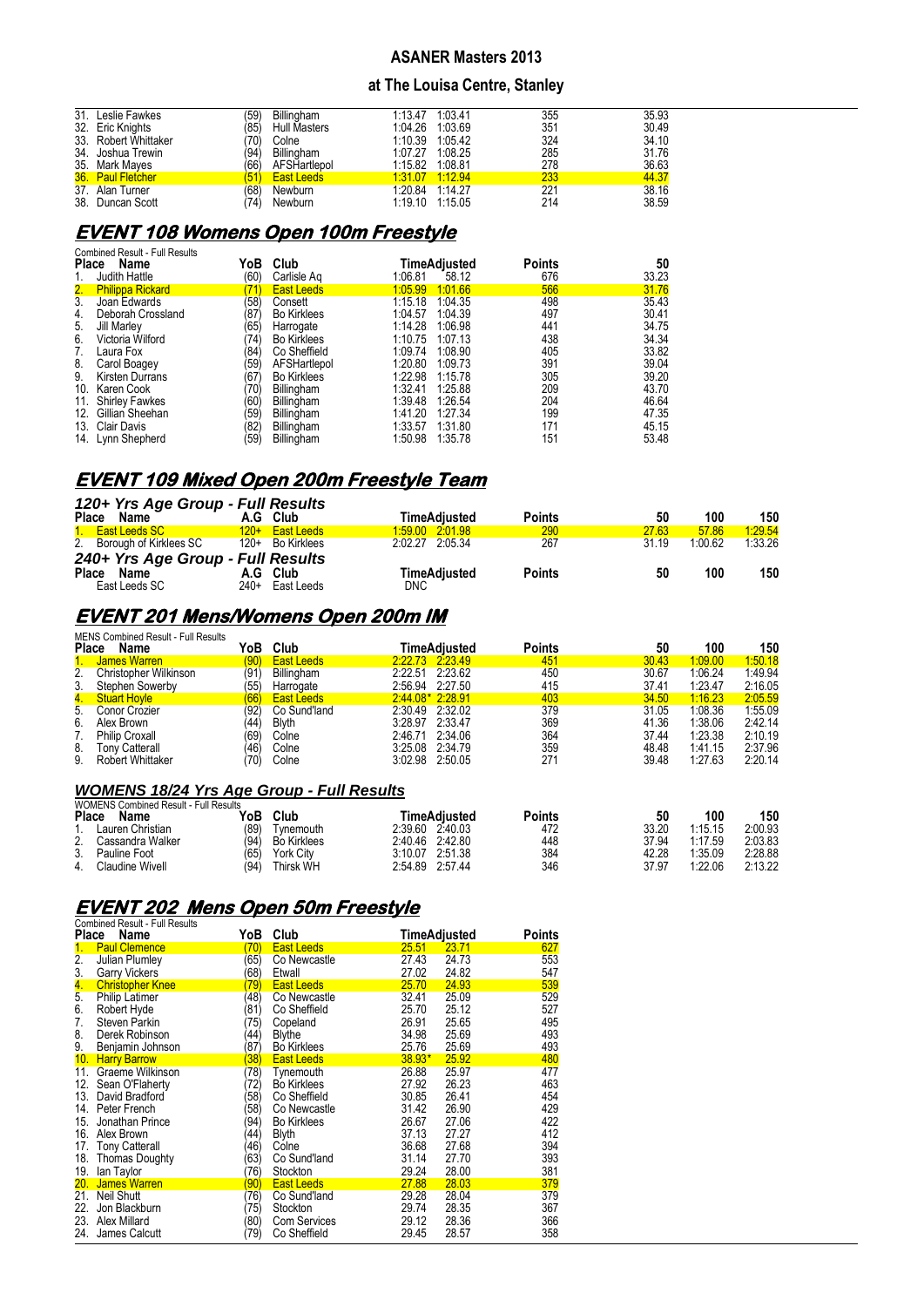#### **at The Louisa Centre, Stanley**

| 31. Leslie Fawkes    | '59) | <b>Billingham</b>   | 1:13.47 1:03.41 | 355 | 35.93 |
|----------------------|------|---------------------|-----------------|-----|-------|
| 32. Eric Knights     | 85)  | <b>Hull Masters</b> | 1:04.26 1:03.69 | 351 | 30.49 |
| 33. Robert Whittaker | 70)  | Colne               | 1:10.39 1:05.42 | 324 | 34.10 |
| 34. Joshua Trewin    | '94) | Billingham          | 1:07.27 1:08.25 | 285 | 31.76 |
| 35. Mark Mayes       | (66) | AFSHartlepol        | 1:15.82 1:08.81 | 278 | 36.63 |
| 36. Paul Fletcher    | 51   | <b>East Leeds</b>   | 1:31.07 1:12.94 | 233 | 44.37 |
| 37. Alan Turner      | (68  | Newburn             | 1:20.84 1:14.27 | 221 | 38.16 |
| 38. Duncan Scott     | 74)  | Newburn             | 1:19.10 1:15.05 | 214 | 38.59 |

# **EVENT 108 Womens Open 100m Freestyle**

|                  | <b>Combined Result - Full Results</b> |      |                    |         |              |               |       |
|------------------|---------------------------------------|------|--------------------|---------|--------------|---------------|-------|
| <b>Place</b>     | Name                                  | YoB  | Club               |         | TimeAdjusted | <b>Points</b> | 50    |
|                  | Judith Hattle                         | (60) | Carlisle Ag        | 1:06.81 | 58.12        | 676           | 33.23 |
| 2.               | <b>Philippa Rickard</b>               | 71   | <b>East Leeds</b>  | 1:05.99 | 1:01.66      | 566           | 31.76 |
| $\overline{3}$ . | Joan Edwards                          | (58) | Consett            | 1:15.18 | 1:04.35      | 498           | 35.43 |
| 4.               | Deborah Crossland                     | (87) | <b>Bo Kirklees</b> | 1:04.57 | 1:04.39      | 497           | 30.41 |
| 5.               | Jill Marley                           | (65) | Harrogate          | 1:14.28 | 1:06.98      | 441           | 34.75 |
| 6.               | Victoria Wilford                      | '74) | <b>Bo Kirklees</b> | 1:10.75 | 1:07.13      | 438           | 34.34 |
| 7.               | Laura Fox                             | (84) | Co Sheffield       | 1:09.74 | 1:08.90      | 405           | 33.82 |
| 8.               | Carol Boagey                          | (59) | AFSHartlepol       | 1:20.80 | 1:09.73      | 391           | 39.04 |
| 9.               | <b>Kirsten Durrans</b>                | (67) | <b>Bo Kirklees</b> | 1:22.98 | 1:15.78      | 305           | 39.20 |
| 10.              | Karen Cook                            | '70) | Billingham         | 1:32.41 | 1:25.88      | 209           | 43.70 |
| 11.              | Shirley Fawkes                        | (60) | Billingham         | 1:39.48 | 1:26.54      | 204           | 46.64 |
| 12.              | Gillian Sheehan                       | 59)  | Billingham         | 1:41.20 | 1:27.34      | 199           | 47.35 |
|                  | 13. Clair Davis                       | (82) | Billingham         | 1:33.57 | 1:31.80      | 171           | 45.15 |
| 14.              | Lynn Shepherd                         | (59) | Billingham         | 1:50.98 | 1:35.78      | 151           | 53.48 |

# **EVENT 109 Mixed Open 200m Freestyle Team**

|                  | 120+ Yrs Age Group - Full Results |                   |                 |                     |               |       |         |         |
|------------------|-----------------------------------|-------------------|-----------------|---------------------|---------------|-------|---------|---------|
| Place Name       |                                   | A.G Club          |                 | <b>TimeAdiusted</b> | <b>Points</b> | 50    | 100     | 150     |
| 1. East Leeds SC | $120+$                            | <b>East Leeds</b> | 1:59.00 2:01.98 |                     | 290           | 27.63 | 57.86   | 1:29.54 |
|                  | 2. Borough of Kirklees SC         | 120+ Bo Kirklees  | 2:02.27 2:05.34 |                     | 267           | 31.19 | 1.00.62 | 1:33.26 |
|                  | 240+ Yrs Age Group - Full Results |                   |                 |                     |               |       |         |         |
| Place Name       |                                   | A.G Club          |                 | <b>TimeAdiusted</b> | <b>Points</b> | 50    | 100     | 150     |
| East Leeds SC    |                                   | 240+ East Leeds   | <b>DNC</b>      |                     |               |       |         |         |

# **EVENT 201 Mens/Womens Open 200m IM**

|                         |                                                                                                                                  |                   |                           |         |                                                                                                                                                                       |               |             | 150            |
|-------------------------|----------------------------------------------------------------------------------------------------------------------------------|-------------------|---------------------------|---------|-----------------------------------------------------------------------------------------------------------------------------------------------------------------------|---------------|-------------|----------------|
|                         | '90)                                                                                                                             |                   |                           |         |                                                                                                                                                                       |               |             | 1:50.18        |
| Christopher Wilkinson   | (91                                                                                                                              | Billingham        |                           |         | 450                                                                                                                                                                   | 30.67         | 1:06.24     | 1:49.94        |
| Stephen Sowerby         | (55)                                                                                                                             | Harrogate         |                           |         | 415                                                                                                                                                                   | 37.41         | 1:23.47     | 2:16.05        |
|                         | 66                                                                                                                               | <b>East Leeds</b> |                           |         | 403                                                                                                                                                                   | 34.50         | 1:16.23     | 2:05.59        |
|                         | (92)                                                                                                                             | Co Sund'land      |                           |         | 379                                                                                                                                                                   | 31.05         | 1:08.36     | 1:55.09        |
| Alex Brown              | 44                                                                                                                               | <b>Blyth</b>      |                           |         | 369                                                                                                                                                                   | 41.36         | 1:38.06     | 2:42.14        |
| <b>Philip Croxall</b>   | (69)                                                                                                                             | Colne             | 2.46.71                   | 2:34.06 | 364                                                                                                                                                                   | 37.44         | 1:23.38     | 2:10.19        |
| Tony Catterall          | (46)                                                                                                                             | Colne             |                           |         | 359                                                                                                                                                                   | 48.48         | 1:41.15     | 2:37.96        |
| <b>Robert Whittaker</b> | 70)                                                                                                                              | Colne             |                           |         | 271                                                                                                                                                                   | 39.48         | 1:27.63     | 2:20.14        |
|                         | <b>MENS Combined Result - Full Results</b><br><b>Place</b><br>Name<br>James Warren<br><b>Stuart Hoyle</b><br>5.<br>Conor Crozier | YoB               | Club<br><b>East Leeds</b> |         | TimeAdiusted<br>2.22.73 2.23.49<br>2:22.51 2:23.62<br>2:56.94 2:27.50<br>2:44.08* 2:28.91<br>2:30.49 2:32.02<br>3:28.97 2:33.47<br>3:25.08 2:34.79<br>3:02.98 2:50.05 | Points<br>451 | 50<br>30.43 | 100<br>1.09.00 |

## *WOMENS 18/24 Yrs Age Group - Full Results*

|    | <b>WOMENS Combined Result - Full Results</b> |      |                    |         |                 |        |       |         |         |
|----|----------------------------------------------|------|--------------------|---------|-----------------|--------|-------|---------|---------|
|    | Place<br>Name                                | YoB  | Club               |         | TimeAdiusted    | Points | 50    | 100     | 150     |
|    | Lauren Christian                             | (89) | Tvnemouth          | 2.39.60 | 2.40.03         | 472    | 33.20 | 1:15.15 | 2:00.93 |
| 2. | Cassandra Walker                             | (94) | <b>Bo Kirklees</b> |         | 2.40.46 2.42.80 | 448    | 37.94 | 1:17.59 | 2:03.83 |
| 3. | Pauline Foot                                 | (65) | York Citv          | 3:10.07 | 2:51.38         | 384    | 42.28 | 1:35.09 | 2:28.88 |
| 4. | Claudine Wivell                              | (94  | Thirsk WH          | 2.54.89 | 2.57.44         | 346    | 37.97 | 1:22.06 | 2:13.22 |

# **EVENT 202 Mens Open 50m Freestyle**

|                  | <b>Combined Result - Full Results</b> |                      |                     |              |       |        |
|------------------|---------------------------------------|----------------------|---------------------|--------------|-------|--------|
| Place            | Name                                  | YoB                  | Club                | TimeAdjusted |       | Points |
| 1.               | <b>Paul Clemence</b>                  | 70)                  | <b>East Leeds</b>   | 25.51        | 23.71 | 627    |
| $\overline{2}$ . | <b>Julian Plumley</b>                 | (65)                 | Co Newcastle        | 27.43        | 24.73 | 553    |
| 3.               | <b>Garry Vickers</b>                  | 68)                  | Etwall              | 27.02        | 24.82 | 547    |
| 4.               | <b>Christopher Knee</b>               | 79)                  | <b>East Leeds</b>   | 25.70        | 24.93 | 539    |
| 5.               | <b>Philip Latimer</b>                 | 48)                  | Co Newcastle        | 32.41        | 25.09 | 529    |
| 6.               | Robert Hyde                           | $ 81\rangle$         | Co Sheffield        | 25.70        | 25.12 | 527    |
| 7.               | Steven Parkin                         | 75)                  | Copeland            | 26.91        | 25.65 | 495    |
| 8.               | Derek Robinson                        | (44)                 | <b>Blythe</b>       | 34.98        | 25.69 | 493    |
| 9.               | Benjamin Johnson                      | $\langle 87 \rangle$ | <b>Bo Kirklees</b>  | 25.76        | 25.69 | 493    |
| 10.              | <b>Harry Barrow</b>                   | 38)                  | <b>East Leeds</b>   | $38.93*$     | 25.92 | 480    |
| 11.              | Graeme Wilkinson                      | 78)                  | Tynemouth           | 26.88        | 25.97 | 477    |
| 12.              | Sean O'Flaherty                       | 72)                  | <b>Bo Kirklees</b>  | 27.92        | 26.23 | 463    |
| 13.              | David Bradford                        | 58)                  | Co Sheffield        | 30.85        | 26.41 | 454    |
| 14.              | Peter French                          | 58)                  | Co Newcastle        | 31.42        | 26.90 | 429    |
| 15.              | Jonathan Prince                       | 94)                  | <b>Bo Kirklees</b>  | 26.67        | 27.06 | 422    |
|                  | 16. Alex Brown                        | 44)                  | <b>Blyth</b>        | 37.13        | 27.27 | 412    |
| 17.              | <b>Tony Catterall</b>                 | (46)                 | Colne               | 36.68        | 27.68 | 394    |
|                  | 18. Thomas Doughty                    | 63)                  | Co Sund'land        | 31.14        | 27.70 | 393    |
| 19.              | lan Taylor                            | 76)                  | Stockton            | 29.24        | 28.00 | 381    |
| 20.              | James Warren                          | 90)                  | <b>East Leeds</b>   | 27.88        | 28.03 | 379    |
| 21.              | <b>Neil Shutt</b>                     | 76)                  | Co Sund'land        | 29.28        | 28.04 | 379    |
| 22.              | Jon Blackburn                         | 75)                  | Stockton            | 29.74        | 28.35 | 367    |
| 23.              | Alex Millard                          | 80)                  | <b>Com Services</b> | 29.12        | 28.36 | 366    |
| 24.              | James Calcutt                         | '79)                 | Co Sheffield        | 29.45        | 28.57 | 358    |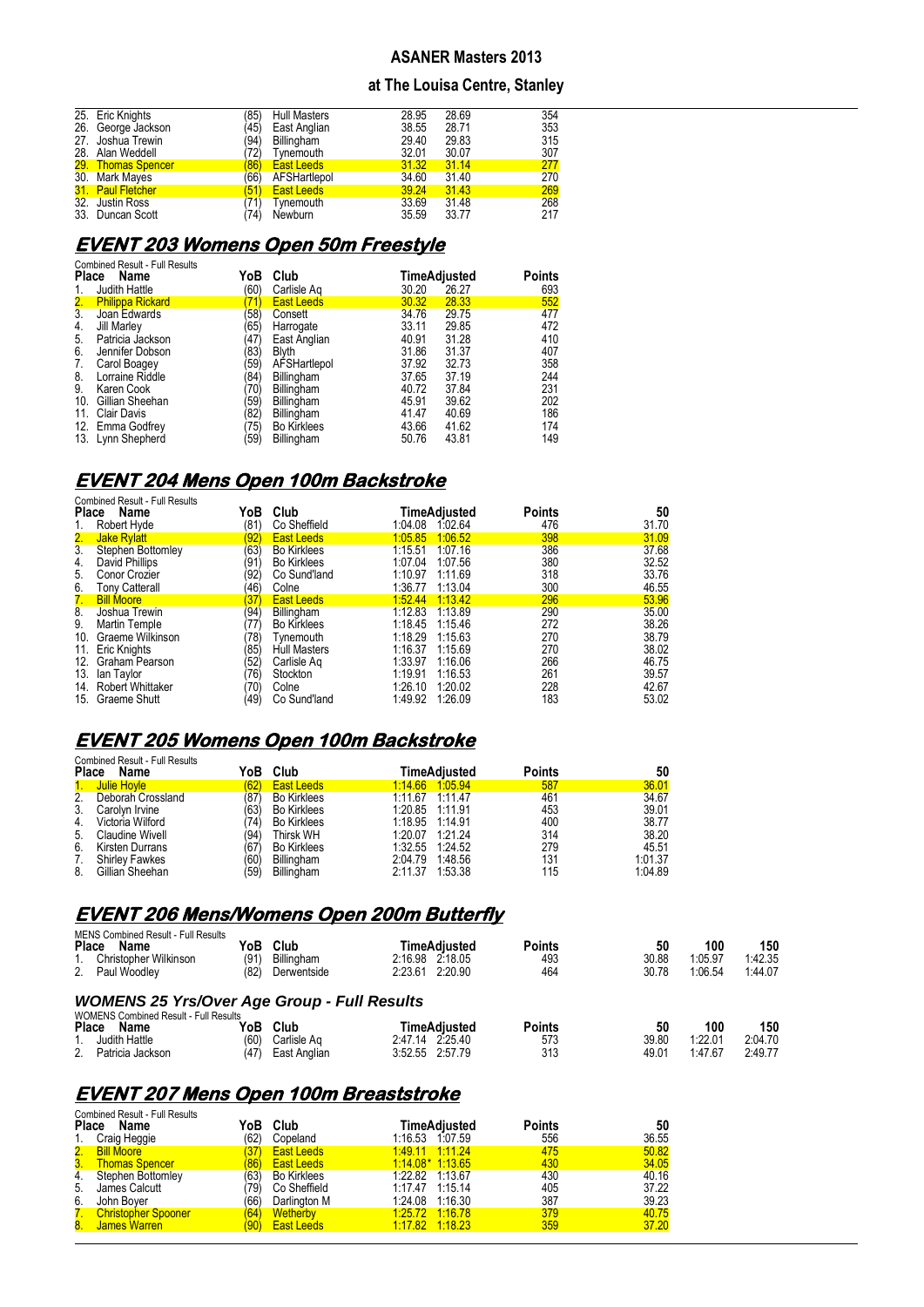#### **at The Louisa Centre, Stanley**

| 25. Eric Knights   | 85)  | <b>Hull Masters</b> | 28.95 | 28.69 | 354 |
|--------------------|------|---------------------|-------|-------|-----|
| 26. George Jackson | 45)  | East Anglian        | 38.55 | 28.71 | 353 |
| 27. Joshua Trewin  | (94) | Billingham          | 29.40 | 29.83 | 315 |
| 28. Alan Weddell   | 72)  | Tynemouth           | 32.01 | 30.07 | 307 |
| 29. Thomas Spencer | 86)  | <b>East Leeds</b>   | 31.32 | 31.14 | 277 |
| 30. Mark Mayes     | (66) | AFSHartlepol        | 34.60 | 31.40 | 270 |
| 31. Paul Fletcher  | 51)  | <b>East Leeds</b>   | 39.24 | 31.43 | 269 |
| 32. Justin Ross    | 71)  | Tynemouth           | 33.69 | 31.48 | 268 |
| 33. Duncan Scott   | 74)  | Newburn             | 35.59 | 33.77 | 217 |

# **EVENT 203 Womens Open 50m Freestyle**

| <b>Place</b> | <b>Combined Result - Full Results</b><br>Name | YoB  | Club               |       | TimeAdjusted | Points |
|--------------|-----------------------------------------------|------|--------------------|-------|--------------|--------|
| 1.           | Judith Hattle                                 | (60) | Carlisle Ag        | 30.20 | 26.27        | 693    |
| 2.           | <b>Philippa Rickard</b>                       | 71)  | <b>East Leeds</b>  | 30.32 | 28.33        | 552    |
| 3.           | Joan Edwards                                  | 58)  | Consett            | 34.76 | 29.75        | 477    |
| 4.           | Jill Marley                                   | '65) | Harrogate          | 33.11 | 29.85        | 472    |
| 5.           | Patricia Jackson                              | 47)  | East Anglian       | 40.91 | 31.28        | 410    |
| 6.           | Jennifer Dobson                               | 83)  | <b>Blyth</b>       | 31.86 | 31.37        | 407    |
| 7.           | Carol Boagey                                  | '59) | AFSHartlepol       | 37.92 | 32.73        | 358    |
| 8.           | Lorraine Riddle                               | 84   | Billingham         | 37.65 | 37.19        | 244    |
| 9.           | Karen Cook                                    | 70)  | Billingham         | 40.72 | 37.84        | 231    |
| 10.          | Gillian Sheehan                               | 59)  | Billingham         | 45.91 | 39.62        | 202    |
| 11.          | Clair Davis                                   | 82)  | Billingham         | 41.47 | 40.69        | 186    |
|              | 12. Emma Godfrey                              | 75)  | <b>Bo Kirklees</b> | 43.66 | 41.62        | 174    |
|              | 13. Lynn Shepherd                             | '59) | Billingham         | 50.76 | 43.81        | 149    |

## **EVENT 204 Mens Open 100m Backstroke**

|              | <b>Combined Result - Full Results</b> |              |                     |              |         |               |       |
|--------------|---------------------------------------|--------------|---------------------|--------------|---------|---------------|-------|
| <b>Place</b> | Name                                  | YoB          | Club                | TimeAdjusted |         | <b>Points</b> | 50    |
| 1.           | Robert Hyde                           | (81)         | Co Sheffield        | 1:04.08      | 1.02.64 | 476           | 31.70 |
| 2.           | Jake Rylatt                           | (92)         | <b>East Leeds</b>   | 1:05.85      | 1:06.52 | 398           | 31.09 |
| 3.           | <b>Stephen Bottomley</b>              | (63)         | <b>Bo Kirklees</b>  | 1:15.51      | 1.07.16 | 386           | 37.68 |
| 4.           | David Phillips                        | (91)         | <b>Bo Kirklees</b>  | 1:07.04      | 1:07.56 | 380           | 32.52 |
| 5.           | Conor Crozier                         | '92)         | Co Sund'land        | 1:10.97      | 1.11.69 | 318           | 33.76 |
| 6.           | <b>Tony Catterall</b>                 | $^{(46)}$    | Colne               | 1:36.77      | 1:13.04 | 300           | 46.55 |
| 7.           | <b>Bill Moore</b>                     | 37)          | <b>East Leeds</b>   | 1.52.44      | 1:13.42 | 296           | 53.96 |
| 8.           | Joshua Trewin                         | $ 94\rangle$ | Billingham          | 1:12.83      | 1.13.89 | 290           | 35.00 |
| 9.           | Martin Temple                         | '77)         | <b>Bo Kirklees</b>  | 1:18.45      | 1.15.46 | 272           | 38.26 |
| 10.          | Graeme Wilkinson                      | 78)          | Tvnemouth           | 1:18.29      | 1.15.63 | 270           | 38.79 |
| 11.          | Eric Knights                          | 85)          | <b>Hull Masters</b> | 1:16.37      | 1:15.69 | 270           | 38.02 |
| 12.          | Graham Pearson                        | '52)         | Carlisle Ag         | 1:33.97      | 1.16.06 | 266           | 46.75 |
| 13.          | lan Tavlor                            | 76)          | Stockton            | 1:19.91      | 1.16.53 | 261           | 39.57 |
| 14.          | <b>Robert Whittaker</b>               | '70)         | Colne               | 1:26.10      | 1.20.02 | 228           | 42.67 |
|              | 15. Graeme Shutt                      | '49)         | Co Sund'land        | 1:49.92      | 1.26.09 | 183           | 53.02 |

## **EVENT 205 Womens Open 100m Backstroke**

|    | <b>Combined Result - Full Results</b> |      |                    |                 |                     |               |         |
|----|---------------------------------------|------|--------------------|-----------------|---------------------|---------------|---------|
|    | Place<br>Name                         | YoB  | Club               |                 | <b>TimeAdiusted</b> | <b>Points</b> | 50      |
|    | 1. Julie Hoyle                        | (62) | <b>East Leeds</b>  |                 | 1.14.66 1.05.94     | 587           | 36.01   |
| 2. | Deborah Crossland                     | (87) | <b>Bo Kirklees</b> | 1.11.67 1.11.47 |                     | 461           | 34.67   |
| 3. | Carolyn Irvine                        | (63) | <b>Bo Kirklees</b> | 1:20.85 1:11.91 |                     | 453           | 39.01   |
| 4. | Victoria Wilford                      | (74) | <b>Bo Kirklees</b> | 1:18.95 1:14.91 |                     | 400           | 38.77   |
| 5. | <b>Claudine Wivell</b>                | (94) | Thirsk WH          | 1:20.07 1:21.24 |                     | 314           | 38.20   |
| 6. | Kirsten Durrans                       | (67) | <b>Bo Kirklees</b> | 1:32.55 1:24.52 |                     | 279           | 45.51   |
| 7. | <b>Shirley Fawkes</b>                 | (60) | Billingham         |                 | 2:04.79 1:48.56     | 131           | 1:01.37 |
| 8. | Gillian Sheehan                       | (59) | Billingham         | 2:11.37 1:53.38 |                     | 115           | 1:04.89 |

# **EVENT 206 Mens/Womens Open 200m Butterfly**

| <b>MENS Combined Result - Full Results</b><br><b>Place</b><br>Name<br>Christopher Wilkinson<br>2 <sub>1</sub><br>Paul Woodlev | YoB<br>(91<br>'82' | Club<br>Billingham<br>Derwentside | TimeAdiusted<br>2:16.98 2:18.05<br>2:23.61 2:20.90 | <b>Points</b><br>493<br>464 | 50<br>30.88<br>30.78 | 100<br>1.05.97<br>1.06.54 | 150<br>1:42.35<br>1:44.07 |
|-------------------------------------------------------------------------------------------------------------------------------|--------------------|-----------------------------------|----------------------------------------------------|-----------------------------|----------------------|---------------------------|---------------------------|
| <b>WOMENS 25 Yrs/Over Age Group - Full Results</b><br><b>WOMENS Combined Result - Full Results</b>                            |                    |                                   |                                                    |                             |                      |                           |                           |
| <b>Place</b><br>Name                                                                                                          | YoB                | Club                              | TimeAdiusted                                       | <b>Points</b>               | 50                   | 100                       | 150                       |
| Judith Hattle<br>2 <sup>2</sup><br>Patricia Jackson                                                                           | (60)<br>47         | Carlisle Ag<br>East Anglian       | 2.47.14 2.25.40<br>3.52.55 2.57.79                 | 573<br>313                  | 39.80<br>49.01       | 1.22.01<br>1:47.67        | 2:04.70<br>2:49.77        |

## **EVENT 207 Mens Open 100m Breaststroke**

|                | <b>Combined Result - Full Results</b> |      |                    |                   |               |       |
|----------------|---------------------------------------|------|--------------------|-------------------|---------------|-------|
|                | Place<br>Name                         | YoB  | Club               | TimeAdiusted      | <b>Points</b> | 50    |
| 1.             | Craig Heggie                          | (62) | Copeland           | 1:16.53 1:07.59   | 556           | 36.55 |
|                | 2. Bill Moore                         | (37) | <b>East Leeds</b>  | 149 11 11 11 24   | 475           | 50.82 |
| 3 <sub>1</sub> | <b>Thomas Spencer</b>                 | (86) | <b>East Leeds</b>  | $1.14.08*1.13.65$ | 430           | 34.05 |
| 4.             | Stephen Bottomley                     | (63) | <b>Bo Kirklees</b> | 1:22.82 1:13.67   | 430           | 40.16 |
| 5.             | James Calcutt                         | 79)  | Co Sheffield       | 1:17.47 1:15.14   | 405           | 37.22 |
| 6.             | John Bover                            | (66) | Darlington M       | 1:24.08 1:16.30   | 387           | 39.23 |
| 7.             | <b>Christopher Spooner</b>            | (64) | <b>Wetherby</b>    | 1:25.72 1:16.78   | 379           | 40.75 |
| 8.             | James Warren                          | 90)  | <b>East Leeds</b>  | 1.17.82 1.18.23   | 359           | 37.20 |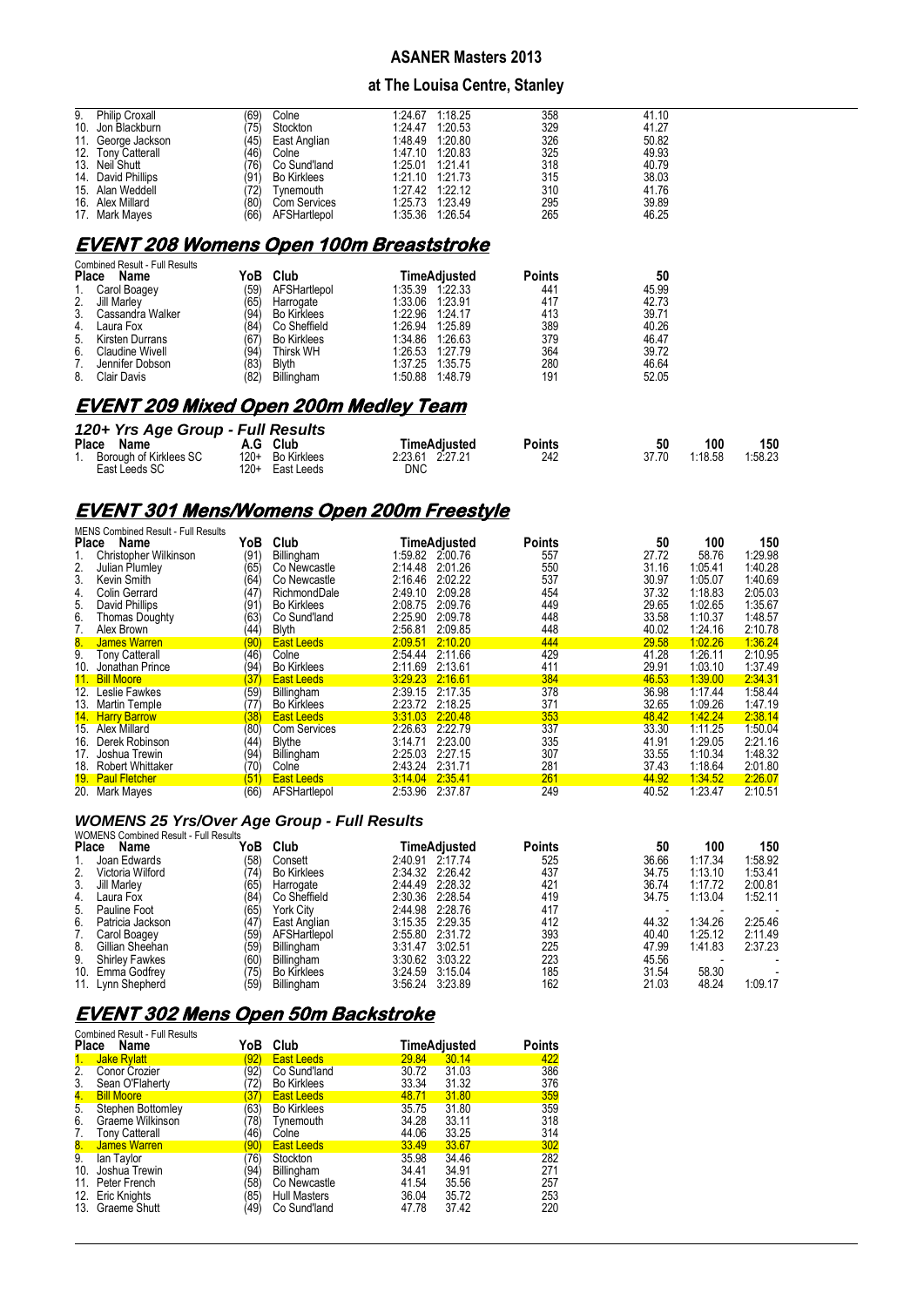#### **at The Louisa Centre, Stanley**

| 9.  | <b>Philip Croxall</b>                          | (69) | Colne              | 1.24.67 | 1:18.25         | 358 | 41.10 |  |  |  |  |
|-----|------------------------------------------------|------|--------------------|---------|-----------------|-----|-------|--|--|--|--|
| 10. | Jon Blackburn                                  | '75) | Stockton           | 1:24.47 | 1:20.53         | 329 | 41.27 |  |  |  |  |
| 11. | George Jackson                                 | (45) | East Anglian       | 1:48.49 | 1:20.80         | 326 | 50.82 |  |  |  |  |
|     | 12. Tony Catterall                             | (46) | Colne              | 1:47.10 | 1:20.83         | 325 | 49.93 |  |  |  |  |
|     | 13. Neil Shutt                                 | '76) | Co Sund'land       | 1:25.01 | 1:21.41         | 318 | 40.79 |  |  |  |  |
|     | 14. David Phillips                             | (91) | <b>Bo Kirklees</b> | 1.21.10 | 1:21.73         | 315 | 38.03 |  |  |  |  |
|     | 15. Alan Weddell                               | 72)  | Tvnemouth          | 1:27.42 | 1:22.12         | 310 | 41.76 |  |  |  |  |
|     | 16. Alex Millard                               | (80) | Com Services       |         | 1:25.73 1:23.49 | 295 | 39.89 |  |  |  |  |
|     | 17. Mark Mayes                                 | (66) | AFSHartlepol       |         | 1:35.36 1:26.54 | 265 | 46.25 |  |  |  |  |
|     | <b>EVENT 208 Womens Open 100m Breaststroke</b> |      |                    |         |                 |     |       |  |  |  |  |
|     | Combined Result - Full Results                 |      |                    |         |                 |     |       |  |  |  |  |

| Place | <b>COMPREY RESULE FULL RESULS</b><br>Name | YoB ∖ | Club               | TimeAdiusted       | <b>Points</b> | 50    |
|-------|-------------------------------------------|-------|--------------------|--------------------|---------------|-------|
| 1.    | Carol Boagey                              | (59)  | AFSHartlepol       | 1:35.39 1:22.33    | 441           | 45.99 |
| 2.    | Jill Marley                               | (65)  | Harrogate          | 1:33.06 1:23.91    | 417           | 42.73 |
| 3.    | Cassandra Walker                          | (94)  | <b>Bo Kirklees</b> | 1:22.96<br>1:24.17 | 413           | 39.71 |
| 4.    | Laura Fox                                 | (84)  | Co Sheffield       | 1:26.94<br>1:25.89 | 389           | 40.26 |
| 5.    | Kirsten Durrans                           | (67)  | <b>Bo Kirklees</b> | 1:34.86<br>1:26.63 | 379           | 46.47 |
| 6.    | Claudine Wivell                           | (94)  | Thirsk WH          | 1:26.53<br>1:27.79 | 364           | 39.72 |
|       | Jennifer Dobson                           | (83)  | <b>Blyth</b>       | 1:37.25<br>1:35.75 | 280           | 46.64 |
| 8.    | Clair Davis                               | (82)  | Billingham         | 1:50.88<br>1.48.79 | 191           | 52.05 |

# **EVENT 209 Mixed Open 200m Medley Team**

| 120+ Yrs Age Group - Full Results |                  |     |                 |        |       |         |         |
|-----------------------------------|------------------|-----|-----------------|--------|-------|---------|---------|
| Place Name                        | A.G Club         |     | TimeAdiusted    | Points | 50    | 100     | 150     |
| 1. Borough of Kirklees SC         | 120+ Bo Kirklees |     | 2:23.61 2.27.21 | 242    | 37.70 | 1:18.58 | 1:58.23 |
| East Leeds SC                     | 120+ East Leeds  | DNC |                 |        |       |         |         |

# **EVENT 301 Mens/Womens Open 200m Freestyle**

|       | <b>MENS Combined Result - Full Results</b> |      |                     |         |                 |               |       |         |         |
|-------|--------------------------------------------|------|---------------------|---------|-----------------|---------------|-------|---------|---------|
| Place | Name                                       | YoB  | Club                |         | TimeAdjusted    | <b>Points</b> | 50    | 100     | 150     |
|       | Christopher Wilkinson                      | (91) | Billingham          |         | 1:59.82 2:00.76 | 557           | 27.72 | 58.76   | 1:29.98 |
| 2.    | Julian Plumley                             | (65) | Co Newcastle        | 2:14.48 | 2:01.26         | 550           | 31.16 | 1:05.41 | 1:40.28 |
| 3.    | Kevin Smith                                | (64  | Co Newcastle        | 2:16.46 | 2:02.22         | 537           | 30.97 | 1:05.07 | 1:40.69 |
| 4.    | <b>Colin Gerrard</b>                       | (47  | RichmondDale        | 2:49.10 | 2:09.28         | 454           | 37.32 | 1:18.83 | 2:05.03 |
| 5.    | David Phillips                             | (91  | <b>Bo Kirklees</b>  | 2:08.75 | 2:09.76         | 449           | 29.65 | 1:02.65 | 1:35.67 |
| 6.    | <b>Thomas Doughty</b>                      | (63  | Co Sund'land        | 2:25.90 | 2:09.78         | 448           | 33.58 | 1:10.37 | 1:48.57 |
| 7.    | Alex Brown                                 | (44) | <b>Blyth</b>        | 2:56.81 | 2:09.85         | 448           | 40.02 | 1.24.16 | 2:10.78 |
| 8.    | James Warren                               | (90) | <b>East Leeds</b>   | 2:09.51 | 2:10.20         | 444           | 29.58 | 1:02.26 | 1:36.24 |
| 9.    | <b>Tony Catterall</b>                      | (46) | Colne               | 2:54.44 | 2:11.66         | 429           | 41.28 | 1:26.11 | 2:10.95 |
| 10.   | Jonathan Prince                            | '94' | <b>Bo Kirklees</b>  | 2:11.69 | 2:13.61         | 411           | 29.91 | 1:03.10 | 1:37.49 |
|       | 11. Bill Moore                             | 37   | <b>East Leeds</b>   | 3:29.23 | 2.16.61         | 384           | 46.53 | 1:39.00 | 2:34.31 |
| 12.   | Leslie Fawkes                              | (59) | Billingham          | 2:39.15 | 2:17.35         | 378           | 36.98 | 1:17.44 | 1:58.44 |
| 13.   | Martin Temple                              | 77   | <b>Bo Kirklees</b>  | 2:23.72 | 2:18.25         | 371           | 32.65 | 1:09.26 | 1:47.19 |
|       | 14. Harry Barrow                           | 38   | <b>East Leeds</b>   | 3:31.03 | 2:20.48         | 353           | 48.42 | 1:42.24 | 2:38.14 |
|       | 15. Alex Millard                           | (80) | <b>Com Services</b> | 2:26.63 | 2:22.79         | 337           | 33.30 | 1:11.25 | 1:50.04 |
| 16.   | Derek Robinson                             | (44  | Blythe              | 3:14.71 | 2:23.00         | 335           | 41.91 | 1.29.05 | 2:21.16 |
| 17.   | Joshua Trewin                              | (94  | Billingham          | 2:25.03 | 2:27.15         | 307           | 33.55 | 1:10.34 | 1:48.32 |
|       | 18. Robert Whittaker                       | (70) | Colne               | 2:43.24 | 2:31.71         | 281           | 37.43 | 1:18.64 | 2:01.80 |
|       | 19. Paul Fletcher                          | (51) | <b>East Leeds</b>   | 3:14.04 | 2:35.41         | 261           | 44.92 | 1:34.52 | 2:26.07 |
|       | 20. Mark Mayes                             | (66) | AFSHartlepol        | 2:53.96 | 2:37.87         | 249           | 40.52 | 1:23.47 | 2:10.51 |

#### *WOMENS 25 Yrs/Over Age Group - Full Results* WOMENS Combined Result - Full Result

| <u>WOMLING COMMICANTESULE LUILINESULS</u> |                                                        |                    |      |     |                                                                                                                                                                                                                                                |         |         |
|-------------------------------------------|--------------------------------------------------------|--------------------|------|-----|------------------------------------------------------------------------------------------------------------------------------------------------------------------------------------------------------------------------------------------------|---------|---------|
|                                           |                                                        |                    |      |     |                                                                                                                                                                                                                                                |         | 150     |
| Joan Edwards                              | (58)                                                   | Consett            |      | 525 | 36.66                                                                                                                                                                                                                                          | 1:17.34 | 1:58.92 |
| Victoria Wilford                          | (74)                                                   | <b>Bo Kirklees</b> |      | 437 | 34.75                                                                                                                                                                                                                                          | 1:13.10 | 1:53.41 |
| Jill Marley                               | (65)                                                   | Harrogate          |      | 421 | 36.74                                                                                                                                                                                                                                          | 1:17.72 | 2:00.81 |
| Laura Fox                                 | (84)                                                   | Co Sheffield       |      | 419 | 34.75                                                                                                                                                                                                                                          | 1:13.04 | 1:52.11 |
| Pauline Foot                              | (65)                                                   | York City          |      | 417 |                                                                                                                                                                                                                                                |         |         |
| Patricia Jackson                          | (47                                                    | East Anglian       |      | 412 | 44.32                                                                                                                                                                                                                                          | 1.34.26 | 2:25.46 |
| Carol Boagey                              | (59)                                                   | AFSHartlepol       |      | 393 | 40.40                                                                                                                                                                                                                                          | 1.25.12 | 2:11.49 |
| Gillian Sheehan                           | 159                                                    | <b>Billingham</b>  |      | 225 | 47.99                                                                                                                                                                                                                                          | 1.41.83 | 2:37.23 |
| <b>Shirley Fawkes</b>                     | (60)                                                   | Billingham         |      | 223 | 45.56                                                                                                                                                                                                                                          |         |         |
|                                           | (75)                                                   | <b>Bo Kirklees</b> |      | 185 | 31.54                                                                                                                                                                                                                                          | 58.30   |         |
|                                           | (59)                                                   | Billingham         |      | 162 | 21.03                                                                                                                                                                                                                                          | 48.24   | 1:09.17 |
|                                           | Place<br>Name<br>10. Emma Godfrev<br>11. Lynn Shepherd | YoB                | Club |     | <b>Points</b><br>TimeAdjusted<br>2:40.91 2:17.74<br>2:34.32 2:26.42<br>2:44.49 2:28.32<br>2:30.36 2:28.54<br>2:44.98 2:28.76<br>3:15.35 2:29.35<br>2:55.80 2:31.72<br>3:31.47 3:02.51<br>3:30.62 3:03.22<br>3:24.59 3:15.04<br>3:56.24 3:23.89 | 50      | 100     |

# **EVENT 302 Mens Open 50m Backstroke**

| <b>Place</b> | <b>Combined Result - Full Results</b><br>Name | YoB  | Club                | TimeAdjusted | Points |     |
|--------------|-----------------------------------------------|------|---------------------|--------------|--------|-----|
| 1.           | <b>Jake Rylatt</b>                            | 92)  | <b>East Leeds</b>   | 29.84        | 30.14  | 422 |
| 2.           | Conor Crozier                                 | 92)  | Co Sund'land        | 30.72        | 31.03  | 386 |
| 3.           | Sean O'Flaherty                               | 72)  | <b>Bo Kirklees</b>  | 33.34        | 31.32  | 376 |
| 4.           | <b>Bill Moore</b>                             | 37)  | <b>East Leeds</b>   | 48.71        | 31.80  | 359 |
| 5.           | Stephen Bottomley                             | (63) | <b>Bo Kirklees</b>  | 35.75        | 31.80  | 359 |
| 6.           | Graeme Wilkinson                              | 78)  | Tvnemouth           | 34.28        | 33.11  | 318 |
| 7.           | <b>Tony Catterall</b>                         | 46)  | Colne               | 44.06        | 33.25  | 314 |
| 8.           | James Warren                                  | 90)  | <b>East Leeds</b>   | 33.49        | 33.67  | 302 |
| 9.           | lan Taylor                                    | 76)  | Stockton            | 35.98        | 34.46  | 282 |
| 10.          | Joshua Trewin                                 | '94' | Billingham          | 34.41        | 34.91  | 271 |
| 11.          | Peter French                                  | 58)  | Co Newcastle        | 41.54        | 35.56  | 257 |
| 12.          | <b>Eric Knights</b>                           | 85)  | <b>Hull Masters</b> | 36.04        | 35.72  | 253 |
| 13.          | Graeme Shutt                                  | 49)  | Co Sund'land        | 47.78        | 37.42  | 220 |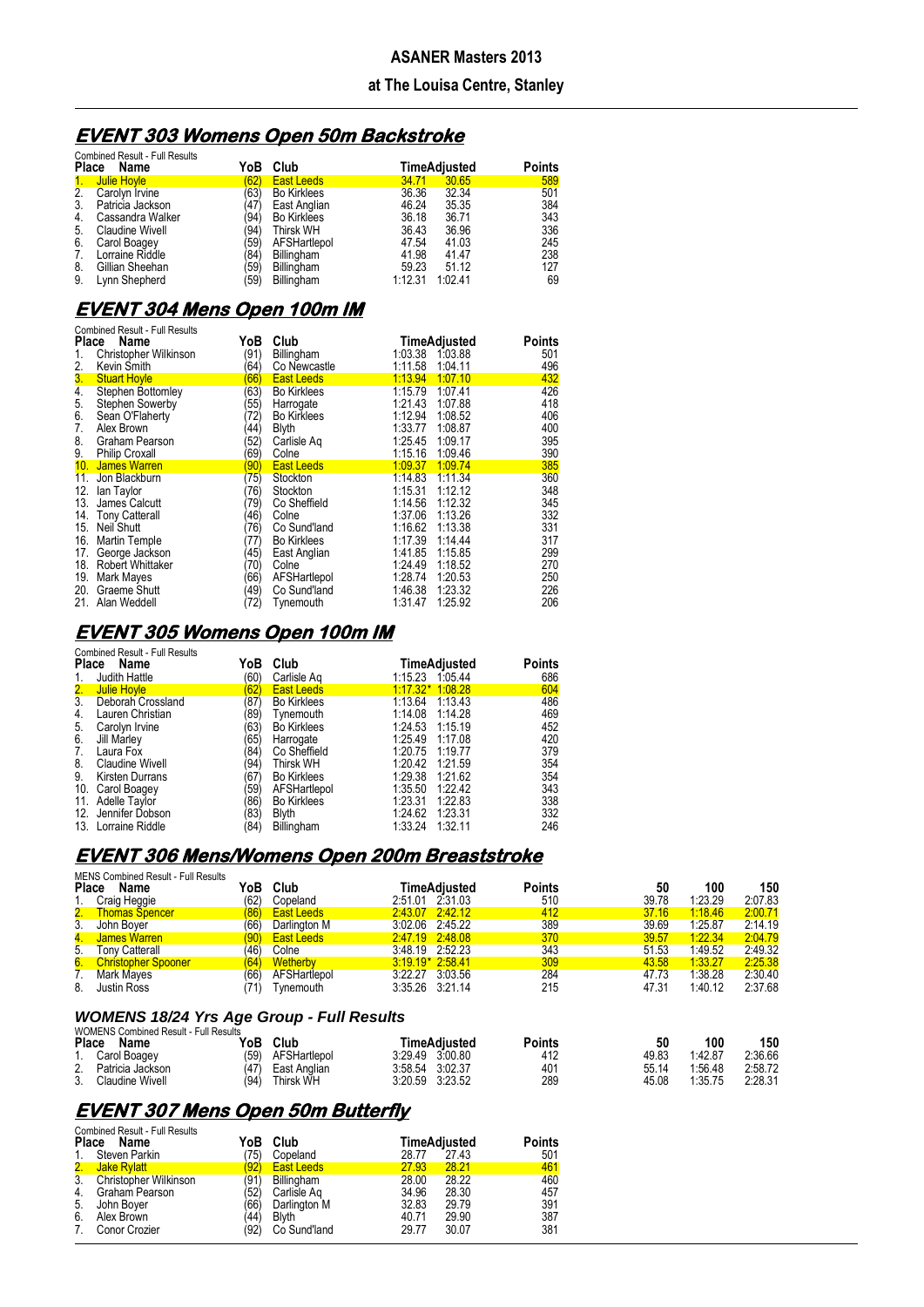# **ASANER Masters 2013 at The Louisa Centre, Stanley**

# **EVENT 303 Womens Open 50m Backstroke**

| <b>Combined Result - Full Results</b> |                        |      |                    |         |              |               |  |  |  |
|---------------------------------------|------------------------|------|--------------------|---------|--------------|---------------|--|--|--|
| <b>Place</b>                          | Name                   | YoB  | Club               |         | TimeAdjusted | <b>Points</b> |  |  |  |
| 1.                                    | Julie Hoyle            | 62)  | <b>East Leeds</b>  | 34.71   | 30.65        | 589           |  |  |  |
| 2.                                    | Carolyn Irvine         | (63) | <b>Bo Kirklees</b> | 36.36   | 32.34        | 501           |  |  |  |
| 3.                                    | Patricia Jackson       | (47) | East Anglian       | 46.24   | 35.35        | 384           |  |  |  |
| 4.                                    | Cassandra Walker       | '94) | <b>Bo Kirklees</b> | 36.18   | 36.71        | 343           |  |  |  |
| 5.                                    | <b>Claudine Wivell</b> | '94) | Thirsk WH          | 36.43   | 36.96        | 336           |  |  |  |
| 6.                                    | Carol Boagey           | '59) | AFSHartlepol       | 47.54   | 41.03        | 245           |  |  |  |
| 7.                                    | Lorraine Riddle        | '84) | Billingham         | 41.98   | 41.47        | 238           |  |  |  |
| 8.                                    | Gillian Sheehan        | '59) | Billingham         | 59.23   | 51.12        | 127           |  |  |  |
| 9.                                    | Lynn Shepherd          | '59) | Billingham         | 1:12.31 | 1:02.41      | 69            |  |  |  |

# **EVENT 304 Mens Open 100m IM**

| <b>Combined Result - Full Results</b><br>YoB<br><b>Place</b><br>Name |                                                            |                               | Club                                                  | TimeAdjusted<br><b>Points</b>                                                       |
|----------------------------------------------------------------------|------------------------------------------------------------|-------------------------------|-------------------------------------------------------|-------------------------------------------------------------------------------------|
| 1.<br>2.                                                             | Christopher Wilkinson<br>Kevin Smith                       | '91)<br>64)                   | Billingham<br>Co Newcastle                            | 1.03.88<br>1:03.38<br>501<br>496<br>1:11.58<br>1:04.11                              |
| 3.                                                                   | <b>Stuart Hoyle</b>                                        | 66)                           | <b>East Leeds</b>                                     | 432<br>1:13.94<br>1:07.10                                                           |
| $\overline{4}$ .<br>5.<br>6.                                         | Stephen Bottomley<br>Stephen Sowerby<br>Sean O'Flaherty    | 63)<br>55)<br>72)             | <b>Bo Kirklees</b><br>Harrogate<br><b>Bo Kirklees</b> | 426<br>1:15.79<br>1:07.41<br>418<br>1:21.43<br>1:07.88<br>1:12.94<br>406<br>1:08.52 |
| 7.<br>8.<br>9.                                                       | Alex Brown<br>Graham Pearson<br><b>Philip Croxall</b>      | 44)<br>52 <sup>′</sup><br>69) | <b>Blyth</b><br>Carlisle Ag                           | 1:08.87<br>400<br>1:33.77<br>395<br>1:25.45<br>1:09.17<br>1:09.46<br>390<br>1:15.16 |
| 10 <sub>1</sub>                                                      | James Warren                                               | 90)                           | Colne<br><b>East Leeds</b>                            | 1.09.37<br>385<br>1:09.74                                                           |
| 11.<br>12.<br>13.                                                    | Jon Blackburn<br>lan Taylor<br>James Calcutt               | 75)<br>76)<br>79)             | Stockton<br>Stockton<br>Co Sheffield                  | 1:14.83<br>1:11.34<br>360<br>1:12.12<br>348<br>1:15.31<br>345<br>1:12.32<br>1:14.56 |
| 14.<br>15.                                                           | <b>Tony Catterall</b><br>Neil Shutt                        | 46)<br>76)                    | Colne<br>Co Sund'land                                 | 1:13.26<br>332<br>1:37.06<br>1:16.62<br>1:13.38<br>331                              |
| 16.<br>17.<br>18.                                                    | Martin Temple<br>George Jackson<br><b>Robert Whittaker</b> | 77)<br>45)<br>(70)            | <b>Bo Kirklees</b><br>East Anglian<br>Colne           | 1:17.39<br>317<br>1:14.44<br>1:41.85<br>299<br>1:15.85<br>1:18.52<br>270<br>1:24.49 |
| 19.<br>20.<br>21.                                                    | Mark Mayes<br>Graeme Shutt<br>Alan Weddell                 | 66)<br>'49)<br>72)            | AFSHartlepol<br>Co Sund'land<br>Tynemouth             | 1:28.74<br>1:20.53<br>250<br>1:46.38<br>1:23.32<br>226<br>206<br>1:25.92<br>1:31.47 |

## **EVENT 305 Womens Open 100m IM**

|               | <b>Combined Result - Full Results</b> |      |                    |                    |               |  |
|---------------|---------------------------------------|------|--------------------|--------------------|---------------|--|
| Place         | Name                                  | YoB  | Club               | TimeAdjusted       | <b>Points</b> |  |
| 1.            | Judith Hattle                         | (60) | Carlisle Ag        | 1:15.23 1:05.44    | 686           |  |
| $\frac{2}{3}$ | <b>Julie Hoyle</b>                    | 62)  | <b>East Leeds</b>  | $1:17.32*1.08.28$  | 604           |  |
|               | Deborah Crossland                     | '87) | <b>Bo Kirklees</b> | 1:13.64<br>1:13.43 | 486           |  |
| 4.            | Lauren Christian                      | (89) | Tynemouth          | 1:14.08<br>1:14.28 | 469           |  |
| 5.            | Carolyn Irvine                        | 63)  | <b>Bo Kirklees</b> | 1:24.53<br>1:15.19 | 452           |  |
| 6.            | Jill Marley                           | '65) | Harrogate          | 1:25.49 1:17.08    | 420           |  |
| 7.            | Laura Fox                             | (84) | Co Sheffield       | 1:20.75<br>1:19.77 | 379           |  |
| 8.            | <b>Claudine Wivell</b>                | 94)  | Thirsk WH          | 1:20.42<br>1:21.59 | 354           |  |
| 9.            | <b>Kirsten Durrans</b>                | '67) | <b>Bo Kirklees</b> | 1:29.38<br>1.21.62 | 354           |  |
| 10.           | Carol Boagey                          | '59) | AFSHartlepol       | 1:35.50<br>1.22.42 | 343           |  |
| 11.           | Adelle Taylor                         | (86) | <b>Bo Kirklees</b> | 1:23.31<br>1:22.83 | 338           |  |
|               | 12. Jennifer Dobson                   | 83)  | <b>Blyth</b>       | 1:24.62<br>1:23.31 | 332           |  |
|               | 13. Lorraine Riddle                   | (84) | Billingham         | 1:33.24<br>1:32.11 | 246           |  |

## **EVENT 306 Mens/Womens Open 200m Breaststroke**

| <b>Place</b> | <b>MENS Combined Result - Full Results</b><br>Name<br>Craig Heggie | ſοB<br>(62) | Club<br>Copeland          | 2:51.01 2.31.03                    | TimeAdiusted | Points<br>510 | 50<br>39.78    | 100<br>1:23.29     | 150<br>2:07.83     |
|--------------|--------------------------------------------------------------------|-------------|---------------------------|------------------------------------|--------------|---------------|----------------|--------------------|--------------------|
|              | 2. Thomas Spencer                                                  | (86)        | <b>East Leeds</b>         | 2.43.07 2.42.12                    |              | 412           | 37.16          | 1:18.46            | 2:00.71            |
| 3.           | John Bover                                                         | (66         | Darlington M              | 3.02.06 2.45.22                    |              | 389           | 39.69          | 1:25.87            | 2:14.19            |
| 4.           | James Warren                                                       | (90)        | <b>East Leeds</b>         | 2.47.19 2.48.08                    |              | 370           | 39.57          | 1.22.34            | 2:04.79            |
| 5.           | Tonv Catterall                                                     | (46         | Colne                     | 3.48.19 2.52.23                    |              | 343           | 51.53          | 1:49.52            | 2:49.32            |
| 6.           | <b>Christopher Spooner</b>                                         | (64)        | Wetherby                  | $3:19.19*2.58.41$                  |              | 309           | 43.58          | 1:33.27            | 2:25.38            |
| 8.           | Mark Mayes<br>Justin Ross                                          | (66         | AFSHartlepol<br>Tvnemouth | 3:22.27 3:03.56<br>3:35.26 3:21.14 |              | 284<br>215    | 47.73<br>47.31 | 1:38.28<br>1:40.12 | 2:30.40<br>2:37.68 |

#### *WOMENS 18/24 Yrs Age Group - Full Results*

|       | <b>WOMENS Combined Result - Full Results</b> |      |              |                 |         |        |       |         |         |
|-------|----------------------------------------------|------|--------------|-----------------|---------|--------|-------|---------|---------|
| Place | Name                                         | YoB  | Club         | TimeAdiusted    |         | Points | 50    | 100     | 150     |
|       | Carol Boagey                                 | (59) | AFSHartlepol | 3.29.49         | 3:00.80 | 412    | 49.83 | 1.42.87 | 2:36.66 |
| 2.    | Patricia Jackson                             | (47) | East Anglian | 3:58.54 3:02.37 |         | 401    | 55.14 | 1.56.48 | 2.58.72 |
| 3.    | <b>Claudine Wivell</b>                       | (94  | Thirsk WH    | 3:20.59         | 3:23.52 | 289    | 45.08 | 1:35.75 | 2:28.31 |

# **EVENT 307 Mens Open 50m Butterfly**

| <b>Combined Result - Full Results</b><br><b>Points</b> |                              |      |                   |       |                     |     |  |  |  |  |
|--------------------------------------------------------|------------------------------|------|-------------------|-------|---------------------|-----|--|--|--|--|
| Place Name                                             |                              | YoB  | Club              |       | <b>TimeAdjusted</b> |     |  |  |  |  |
| 1.                                                     | Steven Parkin                | 75)  | Copeland          | 28.77 | 27.43               | 501 |  |  |  |  |
|                                                        | 2. Jake Rylatt               | 92)  | <b>East Leeds</b> | 27.93 | 28.21               | 461 |  |  |  |  |
| 3 <sub>1</sub>                                         | <b>Christopher Wilkinson</b> | (91) | Billingham        | 28.00 | 28.22               | 460 |  |  |  |  |
| 4.                                                     | Graham Pearson               | '52) | Carlisle Ag       | 34.96 | 28.30               | 457 |  |  |  |  |
| 5.                                                     | John Boyer                   | '66) | Darlington M      | 32.83 | 29.79               | 391 |  |  |  |  |
| 6.                                                     | Alex Brown                   | 44)  | <b>Blyth</b>      | 40.71 | 29.90               | 387 |  |  |  |  |
| 7.                                                     | Conor Crozier                | (92) | Co Sund'land      | 29.77 | 30.07               | 381 |  |  |  |  |